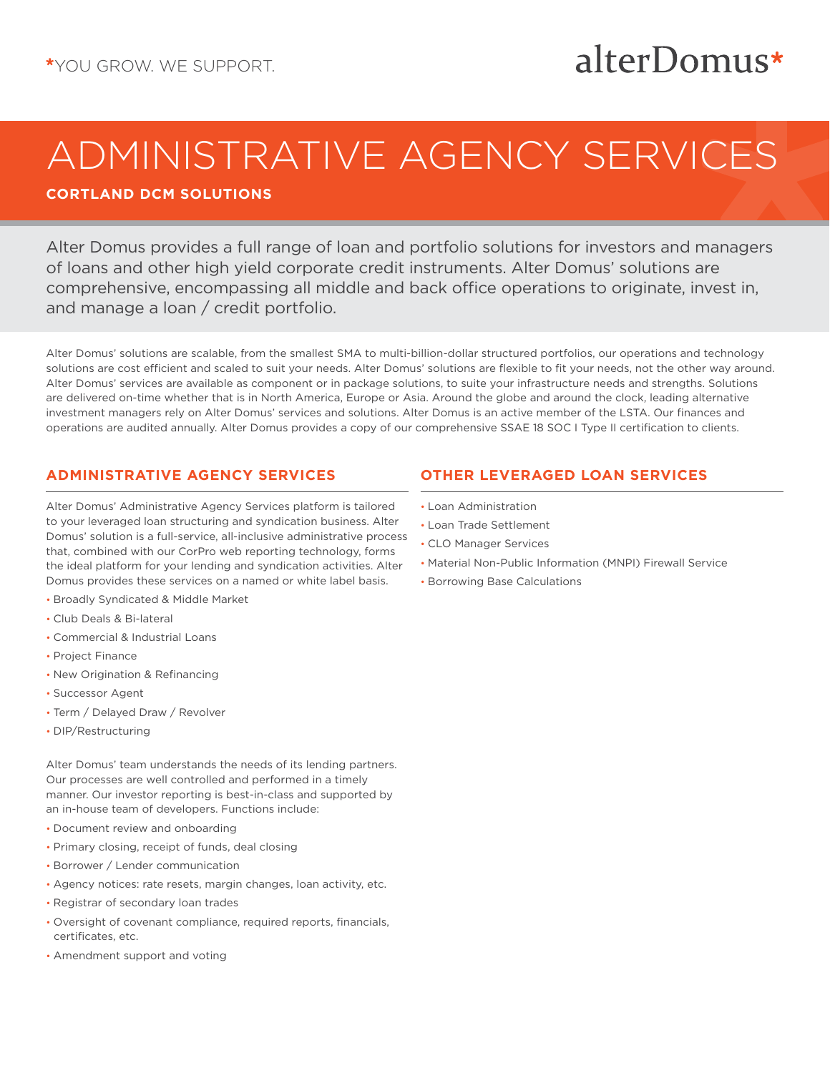## alterDomus\*

# ADMINISTRATIVE AGENCY SERVICES

**CORTLAND DCM SOLUTIONS**

Alter Domus provides a full range of loan and portfolio solutions for investors and managers of loans and other high yield corporate credit instruments. Alter Domus' solutions are comprehensive, encompassing all middle and back office operations to originate, invest in, and manage a loan / credit portfolio.

Alter Domus' solutions are scalable, from the smallest SMA to multi-billion-dollar structured portfolios, our operations and technology solutions are cost efficient and scaled to suit your needs. Alter Domus' solutions are flexible to fit your needs, not the other way around. Alter Domus' services are available as component or in package solutions, to suite your infrastructure needs and strengths. Solutions are delivered on-time whether that is in North America, Europe or Asia. Around the globe and around the clock, leading alternative investment managers rely on Alter Domus' services and solutions. Alter Domus is an active member of the LSTA. Our finances and operations are audited annually. Alter Domus provides a copy of our comprehensive SSAE 18 SOC I Type II certification to clients.

### **ADMINISTRATIVE AGENCY SERVICES**

Alter Domus' Administrative Agency Services platform is tailored to your leveraged loan structuring and syndication business. Alter Domus' solution is a full-service, all-inclusive administrative process that, combined with our CorPro web reporting technology, forms the ideal platform for your lending and syndication activities. Alter Domus provides these services on a named or white label basis.

- Broadly Syndicated & Middle Market
- Club Deals & Bi-lateral
- Commercial & Industrial Loans
- Project Finance
- New Origination & Refinancing
- Successor Agent
- Term / Delayed Draw / Revolver
- DIP/Restructuring

Alter Domus' team understands the needs of its lending partners. Our processes are well controlled and performed in a timely manner. Our investor reporting is best-in-class and supported by an in-house team of developers. Functions include:

- Document review and onboarding
- Primary closing, receipt of funds, deal closing
- Borrower / Lender communication
- Agency notices: rate resets, margin changes, loan activity, etc.
- Registrar of secondary loan trades
- Oversight of covenant compliance, required reports, financials, certificates, etc.
- Amendment support and voting

### **OTHER LEVERAGED LOAN SERVICES**

- Loan Administration
- Loan Trade Settlement
- CLO Manager Services
- Material Non-Public Information (MNPI) Firewall Service
- Borrowing Base Calculations